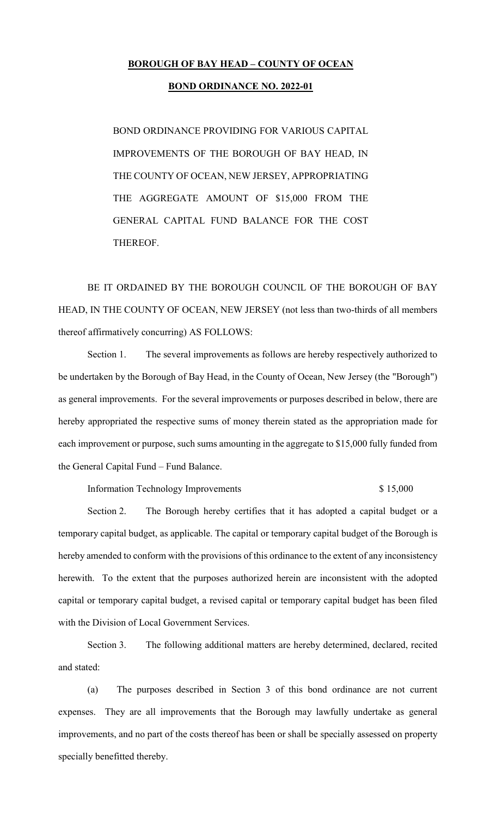## **BOROUGH OF BAY HEAD – COUNTY OF OCEAN**

## **BOND ORDINANCE NO. 2022-01**

BOND ORDINANCE PROVIDING FOR VARIOUS CAPITAL IMPROVEMENTS OF THE BOROUGH OF BAY HEAD, IN THE COUNTY OF OCEAN, NEW JERSEY, APPROPRIATING THE AGGREGATE AMOUNT OF \$15,000 FROM THE GENERAL CAPITAL FUND BALANCE FOR THE COST THEREOF.

BE IT ORDAINED BY THE BOROUGH COUNCIL OF THE BOROUGH OF BAY HEAD, IN THE COUNTY OF OCEAN, NEW JERSEY (not less than two-thirds of all members thereof affirmatively concurring) AS FOLLOWS:

Section 1. The several improvements as follows are hereby respectively authorized to be undertaken by the Borough of Bay Head, in the County of Ocean, New Jersey (the "Borough") as general improvements. For the several improvements or purposes described in below, there are hereby appropriated the respective sums of money therein stated as the appropriation made for each improvement or purpose, such sums amounting in the aggregate to \$15,000 fully funded from the General Capital Fund – Fund Balance.

Information Technology Improvements  $$ 15,000$ 

Section 2. The Borough hereby certifies that it has adopted a capital budget or a temporary capital budget, as applicable. The capital or temporary capital budget of the Borough is hereby amended to conform with the provisions of this ordinance to the extent of any inconsistency herewith. To the extent that the purposes authorized herein are inconsistent with the adopted capital or temporary capital budget, a revised capital or temporary capital budget has been filed with the Division of Local Government Services.

Section 3. The following additional matters are hereby determined, declared, recited and stated:

(a) The purposes described in Section 3 of this bond ordinance are not current expenses. They are all improvements that the Borough may lawfully undertake as general improvements, and no part of the costs thereof has been or shall be specially assessed on property specially benefitted thereby.